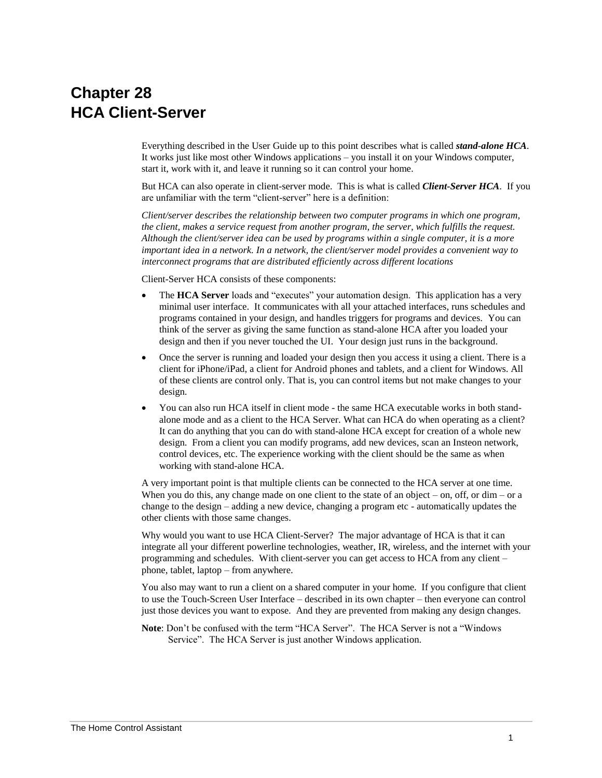# **Chapter 28 HCA Client-Server**

Everything described in the User Guide up to this point describes what is called *stand-alone HCA*. It works just like most other Windows applications – you install it on your Windows computer, start it, work with it, and leave it running so it can control your home.

But HCA can also operate in client-server mode. This is what is called *Client-Server HCA*. If you are unfamiliar with the term "client-server" here is a definition:

*Client/server describes the relationship between two computer programs in which one program, the client, makes a service request from another program, the server, which fulfills the request. Although the client/server idea can be used by programs within a single computer, it is a more important idea in a network. In a network, the client/server model provides a convenient way to interconnect programs that are distributed efficiently across different locations*

Client-Server HCA consists of these components:

- The **HCA Server** loads and "executes" your automation design. This application has a very minimal user interface. It communicates with all your attached interfaces, runs schedules and programs contained in your design, and handles triggers for programs and devices. You can think of the server as giving the same function as stand-alone HCA after you loaded your design and then if you never touched the UI. Your design just runs in the background.
- Once the server is running and loaded your design then you access it using a client. There is a client for iPhone/iPad, a client for Android phones and tablets, and a client for Windows. All of these clients are control only. That is, you can control items but not make changes to your design.
- You can also run HCA itself in client mode the same HCA executable works in both standalone mode and as a client to the HCA Server. What can HCA do when operating as a client? It can do anything that you can do with stand-alone HCA except for creation of a whole new design. From a client you can modify programs, add new devices, scan an Insteon network, control devices, etc. The experience working with the client should be the same as when working with stand-alone HCA.

A very important point is that multiple clients can be connected to the HCA server at one time. When you do this, any change made on one client to the state of an object – on, off, or dim – or a change to the design – adding a new device, changing a program etc - automatically updates the other clients with those same changes.

Why would you want to use HCA Client-Server? The major advantage of HCA is that it can integrate all your different powerline technologies, weather, IR, wireless, and the internet with your programming and schedules. With client-server you can get access to HCA from any client – phone, tablet, laptop – from anywhere.

You also may want to run a client on a shared computer in your home. If you configure that client to use the Touch-Screen User Interface – described in its own chapter – then everyone can control just those devices you want to expose. And they are prevented from making any design changes.

**Note**: Don't be confused with the term "HCA Server". The HCA Server is not a "Windows Service". The HCA Server is just another Windows application.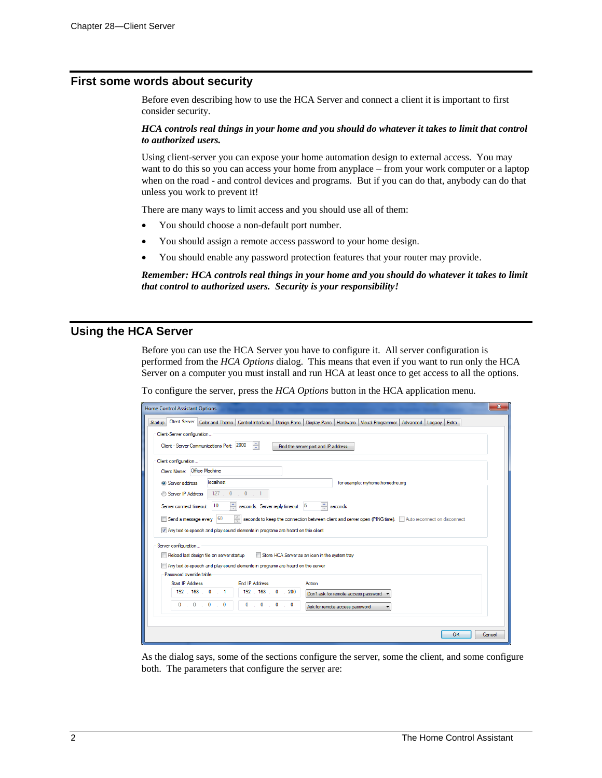#### **First some words about security**

Before even describing how to use the HCA Server and connect a client it is important to first consider security.

#### *HCA controls real things in your home and you should do whatever it takes to limit that control to authorized users.*

Using client-server you can expose your home automation design to external access. You may want to do this so you can access your home from anyplace – from your work computer or a laptop when on the road - and control devices and programs. But if you can do that, anybody can do that unless you work to prevent it!

There are many ways to limit access and you should use all of them:

- You should choose a non-default port number.
- You should assign a remote access password to your home design.
- You should enable any password protection features that your router may provide.

*Remember: HCA controls real things in your home and you should do whatever it takes to limit that control to authorized users. Security is your responsibility!*

### **Using the HCA Server**

Before you can use the HCA Server you have to configure it. All server configuration is performed from the *HCA Options* dialog. This means that even if you want to run only the HCA Server on a computer you must install and run HCA at least once to get access to all the options.

To configure the server, press the *HCA Options* button in the HCA application menu.

| $\mathbf{x}$<br>Home Control Assistant Options                                                                                                                                                                                                                                                                                      |  |  |  |  |  |  |
|-------------------------------------------------------------------------------------------------------------------------------------------------------------------------------------------------------------------------------------------------------------------------------------------------------------------------------------|--|--|--|--|--|--|
| Client Server Color and Theme<br>Control Interface   Design Pane   Display Pane   Hardware  <br>Visual Programmer<br>Advanced Legacy<br><b>Extra</b><br><b>Startup</b><br>Client-Server configuration<br>$\Rightarrow$<br>Client - Server Communications Port: 2000<br>Find the server port and IP address                          |  |  |  |  |  |  |
| Client configuration<br>Client Name: Office Machine<br>localhost                                                                                                                                                                                                                                                                    |  |  |  |  |  |  |
| Server address<br>for example: myhome.homedns.org<br>127.0.0.1<br>Server IP Address<br>÷<br>seconds. Server reply timeout: 5<br>Server connect timeout: 10<br>seconds<br>Send a message every 60<br>$\frac{1}{\sqrt{2}}$<br>seconds to keep the connection between client and server open (PING time). Auto reconnect on disconnect |  |  |  |  |  |  |
| 7 Any text to speech and play-sound elements in programs are heard on this client<br>Server configuration<br>Reload last design file on server startup<br>Store HCA Server as an icon in the system trav<br>Any text to speech and play sound elements in programs are heard on the server<br>Password override table               |  |  |  |  |  |  |
| Start IP Address<br><b>Fnd IP Address</b><br>Action                                                                                                                                                                                                                                                                                 |  |  |  |  |  |  |
| 192.168.0.1<br>192 . 168 . 0 . 200<br>Don't ask for remote access password v                                                                                                                                                                                                                                                        |  |  |  |  |  |  |
| $0 \t0 \t0 \t0 \t0$<br>$0 \tldots 0 \tldots 0 \tldots 0$<br>Ask for remote access password                                                                                                                                                                                                                                          |  |  |  |  |  |  |
| OK<br>Cancel                                                                                                                                                                                                                                                                                                                        |  |  |  |  |  |  |

As the dialog says, some of the sections configure the server, some the client, and some configure both. The parameters that configure the server are: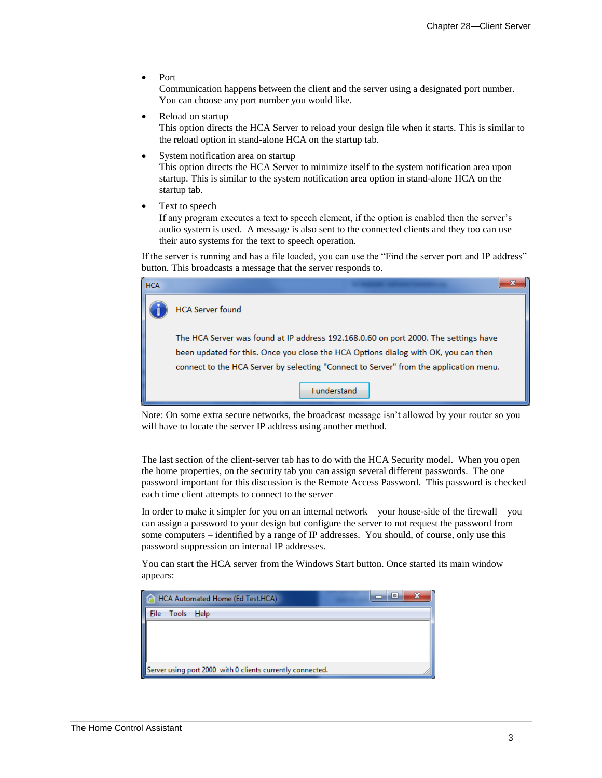• Port

Communication happens between the client and the server using a designated port number. You can choose any port number you would like.

Reload on startup

This option directs the HCA Server to reload your design file when it starts. This is similar to the reload option in stand-alone HCA on the startup tab.

System notification area on startup

This option directs the HCA Server to minimize itself to the system notification area upon startup. This is similar to the system notification area option in stand-alone HCA on the startup tab.

• Text to speech

If any program executes a text to speech element, if the option is enabled then the server's audio system is used. A message is also sent to the connected clients and they too can use their auto systems for the text to speech operation.

If the server is running and has a file loaded, you can use the "Find the server port and IP address" button. This broadcasts a message that the server responds to.

| <b>HCA</b> |                                                                                                                                                                                                                                                                    |  |  |
|------------|--------------------------------------------------------------------------------------------------------------------------------------------------------------------------------------------------------------------------------------------------------------------|--|--|
|            | <b>HCA Server found</b>                                                                                                                                                                                                                                            |  |  |
|            | The HCA Server was found at IP address 192.168.0.60 on port 2000. The settings have<br>been updated for this. Once you close the HCA Options dialog with OK, you can then<br>connect to the HCA Server by selecting "Connect to Server" from the application menu. |  |  |
|            | Lunderstand                                                                                                                                                                                                                                                        |  |  |

Note: On some extra secure networks, the broadcast message isn't allowed by your router so you will have to locate the server IP address using another method.

The last section of the client-server tab has to do with the HCA Security model. When you open the home properties, on the security tab you can assign several different passwords. The one password important for this discussion is the Remote Access Password. This password is checked each time client attempts to connect to the server

In order to make it simpler for you on an internal network – your house-side of the firewall – you can assign a password to your design but configure the server to not request the password from some computers – identified by a range of IP addresses. You should, of course, only use this password suppression on internal IP addresses.

You can start the HCA server from the Windows Start button. Once started its main window appears:

| HCA Automated Home (Ed Test.HCA)                           | $=$ |
|------------------------------------------------------------|-----|
| File Tools Help                                            |     |
|                                                            |     |
|                                                            |     |
|                                                            |     |
| Server using port 2000 with 0 clients currently connected. |     |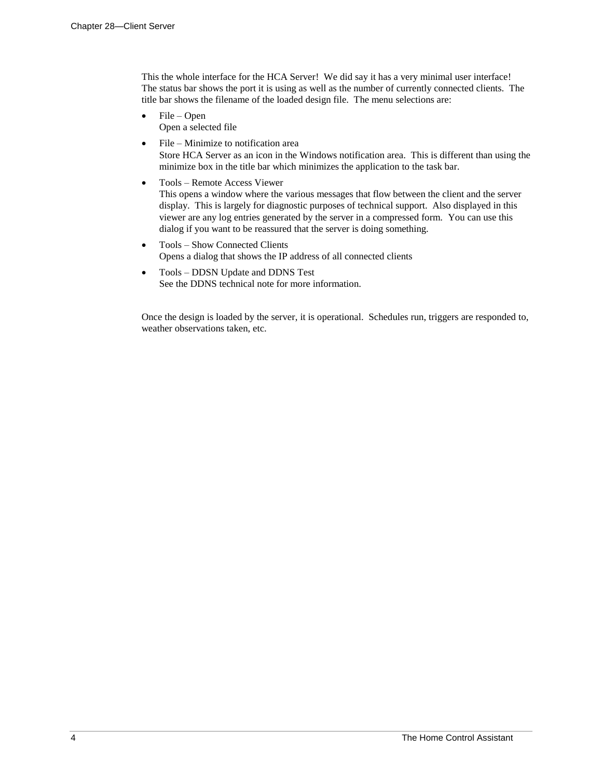This the whole interface for the HCA Server! We did say it has a very minimal user interface! The status bar shows the port it is using as well as the number of currently connected clients. The title bar shows the filename of the loaded design file. The menu selections are:

- File Open Open a selected file
- File Minimize to notification area Store HCA Server as an icon in the Windows notification area. This is different than using the minimize box in the title bar which minimizes the application to the task bar.
- Tools Remote Access Viewer This opens a window where the various messages that flow between the client and the server display. This is largely for diagnostic purposes of technical support. Also displayed in this viewer are any log entries generated by the server in a compressed form. You can use this dialog if you want to be reassured that the server is doing something.
- Tools Show Connected Clients Opens a dialog that shows the IP address of all connected clients
- Tools DDSN Update and DDNS Test See the DDNS technical note for more information.

Once the design is loaded by the server, it is operational. Schedules run, triggers are responded to, weather observations taken, etc.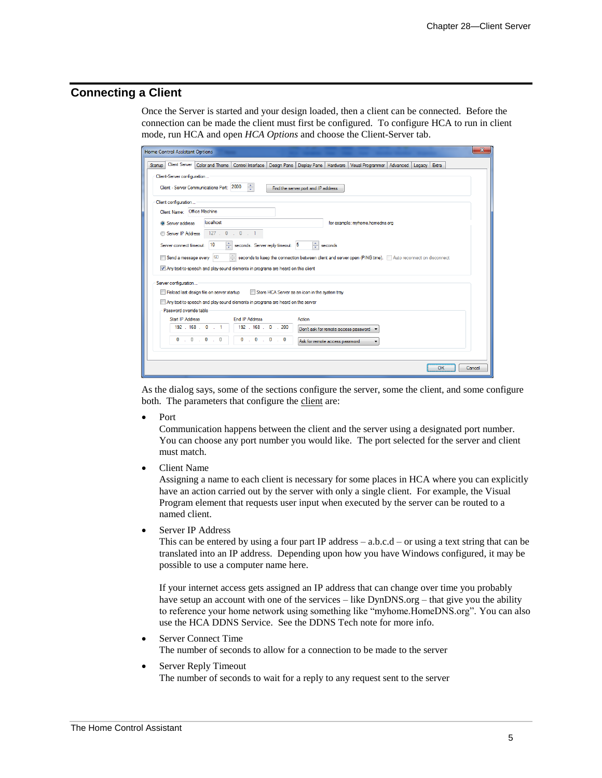# **Connecting a Client**

Once the Server is started and your design loaded, then a client can be connected. Before the connection can be made the client must first be configured. To configure HCA to run in client mode, run HCA and open *HCA Options* and choose the Client-Server tab.

| x<br><b>Home Control Assistant Options</b>                                                                                                                                                                                                                                                                                   |  |  |  |  |
|------------------------------------------------------------------------------------------------------------------------------------------------------------------------------------------------------------------------------------------------------------------------------------------------------------------------------|--|--|--|--|
| <b>Client Server</b><br>Color and Theme   Control Interface   Design Pane   Display Pane  <br><b>Hardware</b><br><b>Startup</b><br>Visual Programmer   Advanced   Legacy   Extra<br>Client-Server configuration<br>今<br>Client - Server Communications Port: 2000<br>Find the server port and IP address                     |  |  |  |  |
| Client configuration<br>Client Name: Office Machine                                                                                                                                                                                                                                                                          |  |  |  |  |
| localhost<br>for example: myhome.homedns.org<br><b>O</b> Server address<br>127.0.0.1<br>Server IP Address                                                                                                                                                                                                                    |  |  |  |  |
| $\Rightarrow$ seconds<br>÷<br>Server connect timeout: 10<br>seconds. Server reply timeout: 5<br>60<br>Send a message every<br>seconds to keep the connection between client and server open (PING time).   Auto reconnect on disconnect<br>7 Any text to-speech and play-sound elements in programs are heard on this client |  |  |  |  |
| Server configuration<br>Reload last design file on server startup<br>Store HCA Server as an icon in the system tray<br>Any text to speech and play-sound elements in programs are heard on the server<br>Password override table                                                                                             |  |  |  |  |
| <b>End IP Address</b><br>Start IP Address<br>Action<br>192.168.0.1<br>192 . 168 . 0 . 200<br>Don't ask for remote access password v<br>$\mathbf{0}$<br>0<br>$\overline{0}$<br>$0 \t 0 \t 0$<br>$\mathbf{0}$<br>$\sim 0$<br>Ask for remote access password                                                                    |  |  |  |  |
| <b>OK</b><br>Cancel                                                                                                                                                                                                                                                                                                          |  |  |  |  |

As the dialog says, some of the sections configure the server, some the client, and some configure both. The parameters that configure the client are:

• Port

Communication happens between the client and the server using a designated port number. You can choose any port number you would like. The port selected for the server and client must match.

• Client Name

Assigning a name to each client is necessary for some places in HCA where you can explicitly have an action carried out by the server with only a single client. For example, the Visual Program element that requests user input when executed by the server can be routed to a named client.

Server IP Address

This can be entered by using a four part IP address  $-$  a.b.c.d  $-$  or using a text string that can be translated into an IP address. Depending upon how you have Windows configured, it may be possible to use a computer name here.

If your internet access gets assigned an IP address that can change over time you probably have setup an account with one of the services – like DynDNS.org – that give you the ability to reference your home network using something like "myhome.HomeDNS.org". You can also use the HCA DDNS Service. See the DDNS Tech note for more info.

- Server Connect Time The number of seconds to allow for a connection to be made to the server
- Server Reply Timeout The number of seconds to wait for a reply to any request sent to the server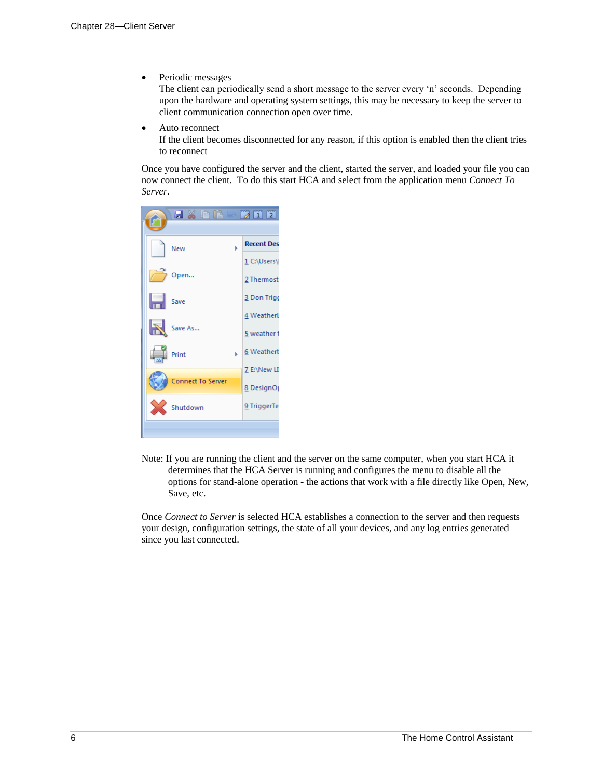• Periodic messages

The client can periodically send a short message to the server every 'n' seconds. Depending upon the hardware and operating system settings, this may be necessary to keep the server to client communication connection open over time.

• Auto reconnect

If the client becomes disconnected for any reason, if this option is enabled then the client tries to reconnect

Once you have configured the server and the client, started the server, and loaded your file you can now connect the client. To do this start HCA and select from the application menu *Connect To Server*.

| HXDRE                    | $\mathbb{Z}$ 1 2  |
|--------------------------|-------------------|
| New                      | <b>Recent Des</b> |
|                          | 1 C:\Users\l      |
| Open                     | 2 Thermost        |
| Н<br>Save                | 3 Don Trigo       |
|                          | 4 Weatherl        |
| R<br>Save As             | 5 weather t       |
| Print                    | 6 Weathert        |
|                          | 7 E:\New LI       |
| <b>Connect To Server</b> | <b>8</b> DesignOp |
| Shutdown                 | 9 TriggerTe       |
|                          |                   |

Note: If you are running the client and the server on the same computer, when you start HCA it determines that the HCA Server is running and configures the menu to disable all the options for stand-alone operation - the actions that work with a file directly like Open, New, Save, etc.

Once *Connect to Server* is selected HCA establishes a connection to the server and then requests your design, configuration settings, the state of all your devices, and any log entries generated since you last connected.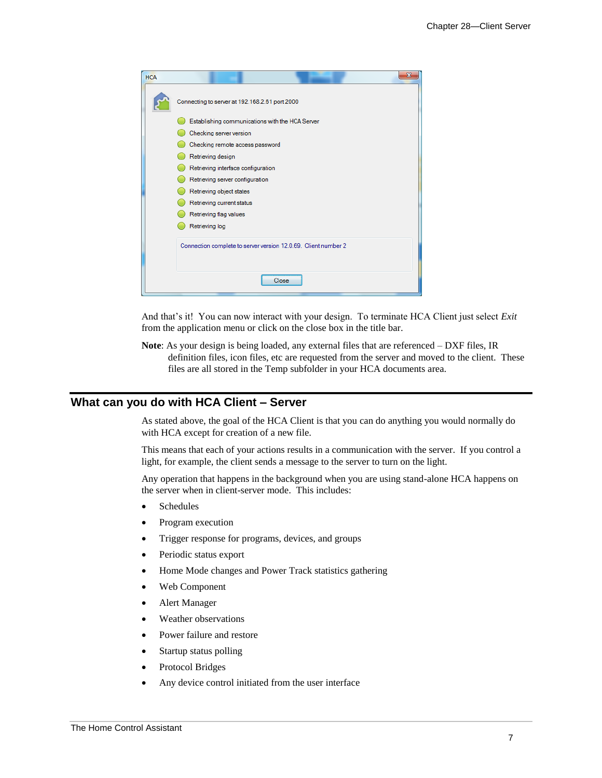| <b>HCA</b> | $\overline{\mathbf{x}}$                                        |  |  |  |  |
|------------|----------------------------------------------------------------|--|--|--|--|
|            | Connecting to server at 192.168.2.61 port 2000                 |  |  |  |  |
|            | Establishing communications with the HCA Server                |  |  |  |  |
|            | Checking server version                                        |  |  |  |  |
|            | Checking remote access password                                |  |  |  |  |
|            | Retrieving design                                              |  |  |  |  |
|            | Retrieving interface configuration                             |  |  |  |  |
|            | Retrieving server configuration                                |  |  |  |  |
|            | Retrieving object states                                       |  |  |  |  |
|            | Retrieving current status                                      |  |  |  |  |
|            | Retrieving flag values                                         |  |  |  |  |
|            | Retrieving log                                                 |  |  |  |  |
|            | Connection complete to server version 12.0.69. Client number 2 |  |  |  |  |
| Close      |                                                                |  |  |  |  |

And that's it! You can now interact with your design. To terminate HCA Client just select *Exit* from the application menu or click on the close box in the title bar.

**Note**: As your design is being loaded, any external files that are referenced – DXF files, IR definition files, icon files, etc are requested from the server and moved to the client. These files are all stored in the Temp subfolder in your HCA documents area.

#### **What can you do with HCA Client – Server**

As stated above, the goal of the HCA Client is that you can do anything you would normally do with HCA except for creation of a new file.

This means that each of your actions results in a communication with the server. If you control a light, for example, the client sends a message to the server to turn on the light.

Any operation that happens in the background when you are using stand-alone HCA happens on the server when in client-server mode. This includes:

- Schedules
- Program execution
- Trigger response for programs, devices, and groups
- Periodic status export
- Home Mode changes and Power Track statistics gathering
- Web Component
- Alert Manager
- Weather observations
- Power failure and restore
- Startup status polling
- Protocol Bridges
- Any device control initiated from the user interface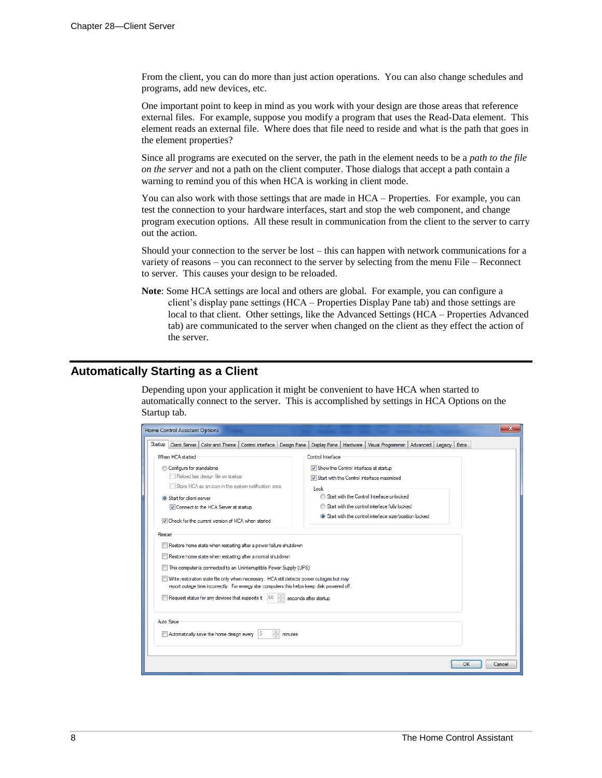From the client, you can do more than just action operations. You can also change schedules and programs, add new devices, etc.

One important point to keep in mind as you work with your design are those areas that reference external files. For example, suppose you modify a program that uses the Read-Data element. This element reads an external file. Where does that file need to reside and what is the path that goes in the element properties?

Since all programs are executed on the server, the path in the element needs to be a *path to the file on the server* and not a path on the client computer. Those dialogs that accept a path contain a warning to remind you of this when HCA is working in client mode.

You can also work with those settings that are made in HCA – Properties. For example, you can test the connection to your hardware interfaces, start and stop the web component, and change program execution options. All these result in communication from the client to the server to carry out the action.

Should your connection to the server be lost – this can happen with network communications for a variety of reasons – you can reconnect to the server by selecting from the menu File – Reconnect to server. This causes your design to be reloaded.

**Note**: Some HCA settings are local and others are global. For example, you can configure a client's display pane settings (HCA – Properties Display Pane tab) and those settings are local to that client. Other settings, like the Advanced Settings (HCA – Properties Advanced tab) are communicated to the server when changed on the client as they effect the action of the server.

#### **Automatically Starting as a Client**

Depending upon your application it might be convenient to have HCA when started to automatically connect to the server. This is accomplished by settings in HCA Options on the Startup tab.

| $\mathbf x$<br><b>Home Control Assistant Options</b>                                                         |                                                                                     |  |  |  |  |  |
|--------------------------------------------------------------------------------------------------------------|-------------------------------------------------------------------------------------|--|--|--|--|--|
| Startup<br><b>Client Server</b><br><b>Color and Theme</b><br>Control Interface<br>Design Pane                | Hardware<br><b>Visual Programmer</b><br>Advanced<br>Extra<br>Display Pane<br>Legacy |  |  |  |  |  |
| When HCA started<br>Control Interface                                                                        |                                                                                     |  |  |  |  |  |
| Configure for standalone                                                                                     | Show the Control Interface at startup                                               |  |  |  |  |  |
| Reload last design file on startup                                                                           | Start with the Control Interface maximized                                          |  |  |  |  |  |
| Store HCA as an icon in the system notification area                                                         | Lock                                                                                |  |  |  |  |  |
| <b>O</b> Start for client-server                                                                             | Start with the Control Interface unlocked<br>⋒                                      |  |  |  |  |  |
| Connect to the HCA Server at startup                                                                         | Start with the control interface fully locked<br>∩                                  |  |  |  |  |  |
| To Check for the current version of HCA when started                                                         | Start with the control interface size/position locked                               |  |  |  |  |  |
| Restart                                                                                                      |                                                                                     |  |  |  |  |  |
| Restore home state when restarting after a power failure shutdown                                            |                                                                                     |  |  |  |  |  |
| Restore home state when restarting after a normal shutdown                                                   |                                                                                     |  |  |  |  |  |
| This computer is connected to an Uninterruptible Power Supply (UPS)                                          |                                                                                     |  |  |  |  |  |
| Write restoration state file only when necessary. HCA still detects power outages but may                    |                                                                                     |  |  |  |  |  |
| report outage time incorrectly. For energy star computers this helps keep disk powered off.                  |                                                                                     |  |  |  |  |  |
| $\frac{\lambda}{\lambda}$<br>Request status for any devices that supports it<br>160<br>seconds after startup |                                                                                     |  |  |  |  |  |
|                                                                                                              |                                                                                     |  |  |  |  |  |
| Auto Save                                                                                                    |                                                                                     |  |  |  |  |  |
| $\frac{1}{x}$<br>Automatically save the home design every<br>15<br>minutes                                   |                                                                                     |  |  |  |  |  |
|                                                                                                              |                                                                                     |  |  |  |  |  |
|                                                                                                              | OK<br>Cancel                                                                        |  |  |  |  |  |
|                                                                                                              |                                                                                     |  |  |  |  |  |